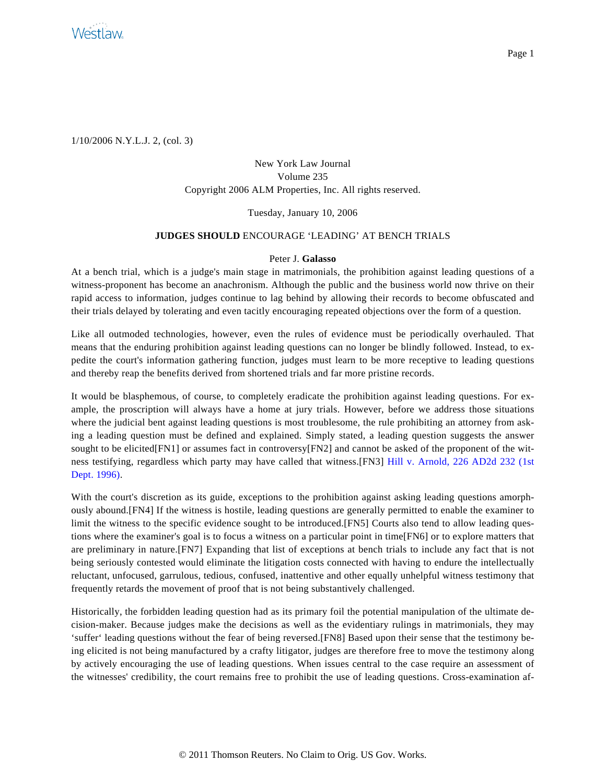

1/10/2006 N.Y.L.J. 2, (col. 3)

## New York Law Journal Volume 235 Copyright 2006 ALM Properties, Inc. All rights reserved.

## Tuesday, January 10, 2006

## **JUDGES SHOULD** ENCOURAGE 'LEADING' AT BENCH TRIALS

## Peter J. **Galasso**

At a bench trial, which is a judge's main stage in matrimonials, the prohibition against leading questions of a witness-proponent has become an anachronism. Although the public and the business world now thrive on their rapid access to information, judges continue to lag behind by allowing their records to become obfuscated and their trials delayed by tolerating and even tacitly encouraging repeated objections over the form of a question.

Like all outmoded technologies, however, even the rules of evidence must be periodically overhauled. That means that the enduring prohibition against leading questions can no longer be blindly followed. Instead, to expedite the court's information gathering function, judges must learn to be more receptive to leading questions and thereby reap the benefits derived from shortened trials and far more pristine records.

It would be blasphemous, of course, to completely eradicate the prohibition against leading questions. For example, the proscription will always have a home at jury trials. However, before we address those situations where the judicial bent against leading questions is most troublesome, the rule prohibiting an attorney from asking a leading question must be defined and explained. Simply stated, a leading question suggests the answer sought to be elicited[FN1] or assumes fact in controversy[FN2] and cannot be asked of the proponent of the witness testifying, regardless which party may have called that witness.[FN3] [Hill v. Arnold, 226 AD2d 232 \(1s](http://www.westlaw.com/Find/Default.wl?rs=dfa1.0&vr=2.0&DB=155&FindType=Y&SerialNum=1996097193)t [Dept. 1996\)](http://www.westlaw.com/Find/Default.wl?rs=dfa1.0&vr=2.0&DB=155&FindType=Y&SerialNum=1996097193).

With the court's discretion as its guide, exceptions to the prohibition against asking leading questions amorphously abound.[FN4] If the witness is hostile, leading questions are generally permitted to enable the examiner to limit the witness to the specific evidence sought to be introduced.[FN5] Courts also tend to allow leading questions where the examiner's goal is to focus a witness on a particular point in time[FN6] or to explore matters that are preliminary in nature.[FN7] Expanding that list of exceptions at bench trials to include any fact that is not being seriously contested would eliminate the litigation costs connected with having to endure the intellectually reluctant, unfocused, garrulous, tedious, confused, inattentive and other equally unhelpful witness testimony that frequently retards the movement of proof that is not being substantively challenged.

Historically, the forbidden leading question had as its primary foil the potential manipulation of the ultimate decision-maker. Because judges make the decisions as well as the evidentiary rulings in matrimonials, they may 'suffer' leading questions without the fear of being reversed.[FN8] Based upon their sense that the testimony being elicited is not being manufactured by a crafty litigator, judges are therefore free to move the testimony along by actively encouraging the use of leading questions. When issues central to the case require an assessment of the witnesses' credibility, the court remains free to prohibit the use of leading questions. Cross-examination af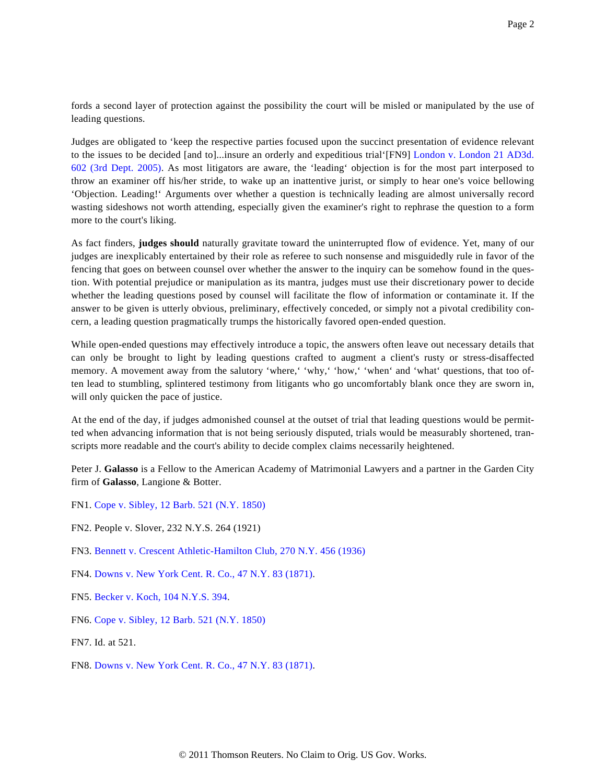fords a second layer of protection against the possibility the court will be misled or manipulated by the use of leading questions.

Judges are obligated to 'keep the respective parties focused upon the succinct presentation of evidence relevant to the issues to be decided [and to]...insure an orderly and expeditious trial'[FN9] [London v. London 21 AD3d.](http://www.westlaw.com/Find/Default.wl?rs=dfa1.0&vr=2.0&DB=7049&FindType=Y&SerialNum=2007093056) [602 \(3rd Dept. 2005](http://www.westlaw.com/Find/Default.wl?rs=dfa1.0&vr=2.0&DB=7049&FindType=Y&SerialNum=2007093056)). As most litigators are aware, the 'leading' objection is for the most part interposed to throw an examiner off his/her stride, to wake up an inattentive jurist, or simply to hear one's voice bellowing 'Objection. Leading!' Arguments over whether a question is technically leading are almost universally record wasting sideshows not worth attending, especially given the examiner's right to rephrase the question to a form more to the court's liking.

As fact finders, **judges should** naturally gravitate toward the uninterrupted flow of evidence. Yet, many of our judges are inexplicably entertained by their role as referee to such nonsense and misguidedly rule in favor of the fencing that goes on between counsel over whether the answer to the inquiry can be somehow found in the question. With potential prejudice or manipulation as its mantra, judges must use their discretionary power to decide whether the leading questions posed by counsel will facilitate the flow of information or contaminate it. If the answer to be given is utterly obvious, preliminary, effectively conceded, or simply not a pivotal credibility concern, a leading question pragmatically trumps the historically favored open-ended question.

While open-ended questions may effectively introduce a topic, the answers often leave out necessary details that can only be brought to light by leading questions crafted to augment a client's rusty or stress-disaffected memory. A movement away from the salutory 'where,' 'why,' 'how,' 'when' and 'what' questions, that too often lead to stumbling, splintered testimony from litigants who go uncomfortably blank once they are sworn in, will only quicken the pace of justice.

At the end of the day, if judges admonished counsel at the outset of trial that leading questions would be permitted when advancing information that is not being seriously disputed, trials would be measurably shortened, transcripts more readable and the court's ability to decide complex claims necessarily heightened.

Peter J. **Galasso** is a Fellow to the American Academy of Matrimonial Lawyers and a partner in the Garden City firm of **Galasso**, Langione & Botter.

- FN1. [Cope v. Sibley, 12 Barb. 521 \(N.Y. 1850\)](http://www.westlaw.com/Find/Default.wl?rs=dfa1.0&vr=2.0&DB=2877&FindType=Y&SerialNum=1850008493)
- FN2. People v. Slover, 232 N.Y.S. 264 (1921)
- FN3. [Bennett v. Crescent Athletic-Hamilton Club, 270 N.Y. 456 \(1936\)](http://www.westlaw.com/Find/Default.wl?rs=dfa1.0&vr=2.0&DB=596&FindType=Y&SerialNum=1936101802)
- FN4. [Downs v. New York Cent. R. Co., 47 N.Y. 83 \(1871\)](http://www.westlaw.com/Find/Default.wl?rs=dfa1.0&vr=2.0&DB=596&FindType=Y&SerialNum=1871016084).
- FN5. [Becker v. Koch, 104 N.Y.S. 394](http://www.westlaw.com/Find/Default.wl?rs=dfa1.0&vr=2.0&DB=601&FindType=Y&SerialNum=1907020235).
- FN6. [Cope v. Sibley, 12 Barb. 521 \(N.Y. 1850\)](http://www.westlaw.com/Find/Default.wl?rs=dfa1.0&vr=2.0&DB=2877&FindType=Y&SerialNum=1850008493)

FN7. Id. at 521.

FN8. [Downs v. New York Cent. R. Co., 47 N.Y. 83 \(1871\)](http://www.westlaw.com/Find/Default.wl?rs=dfa1.0&vr=2.0&DB=596&FindType=Y&SerialNum=1871016084).